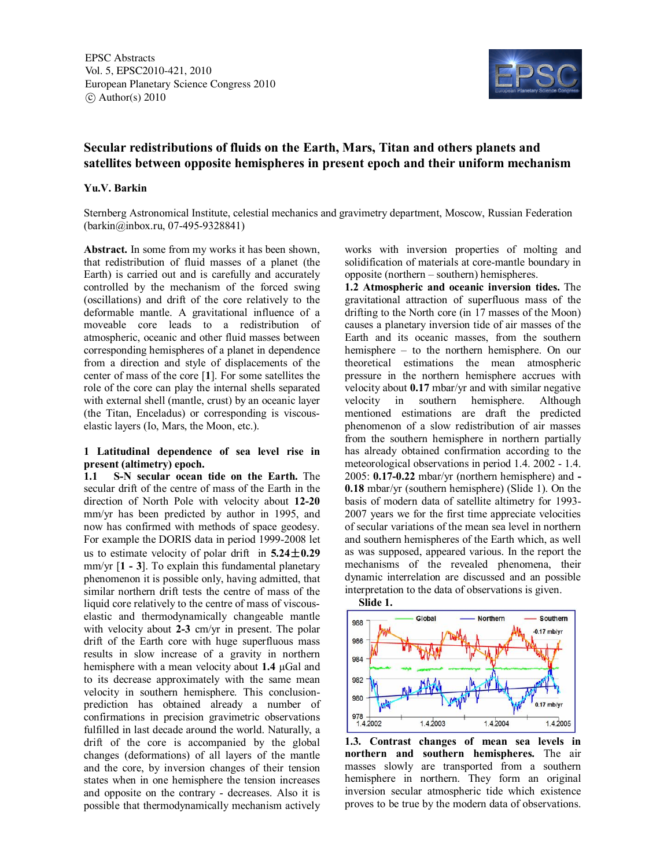EPSC Abstracts Vol. 5, EPSC2010-421, 2010 European Planetary Science Congress 2010  $\circ$  Author(s) 2010



## **Secular redistributions of fluids on the Earth, Mars, Titan and others planets and satellites between opposite hemispheres in present epoch and their uniform mechanism**

#### **Yu.V. Barkin**

Sternberg Astronomical Institute, celestial mechanics and gravimetry department, Moscow, Russian Federation (barkin@inbox.ru, 07-495-9328841)

**Abstract.** In some from my works it has been shown, that redistribution of fluid masses of a planet (the Earth) is carried out and is carefully and accurately controlled by the mechanism of the forced swing (oscillations) and drift of the core relatively to the deformable mantle. A gravitational influence of a moveable core leads to a redistribution of atmospheric, oceanic and other fluid masses between corresponding hemispheres of a planet in dependence from a direction and style of displacements of the center of mass of the core [**1**]. For some satellites the role of the core can play the internal shells separated with external shell (mantle, crust) by an oceanic layer (the Titan, Enceladus) or corresponding is viscouselastic layers (Io, Mars, the Moon, etc.).

# **1 Latitudinal dependence of sea level rise in present (altimetry) epoch.**<br>**1.1** S-N secular ocean

**1.1 S-N secular ocean tide on the Earth.** The secular drift of the centre of mass of the Earth in the direction of North Pole with velocity about **12-20** mm/yr has been predicted by author in 1995, and now has confirmed with methods of space geodesy. For example the DORIS data in period 1999-2008 let us to estimate velocity of polar drift in  $5.24 \pm 0.29$ mm/yr [**1 - 3**]. To explain this fundamental planetary phenomenon it is possible only, having admitted, that similar northern drift tests the centre of mass of the liquid core relatively to the centre of mass of viscouselastic and thermodynamically changeable mantle with velocity about **2-3** cm/yr in present. The polar drift of the Earth core with huge superfluous mass results in slow increase of a gravity in northern hemisphere with a mean velocity about **1.4** µGal and to its decrease approximately with the same mean velocity in southern hemisphere. This conclusionprediction has obtained already a number of confirmations in precision gravimetric observations fulfilled in last decade around the world. Naturally, a drift of the core is accompanied by the global changes (deformations) of all layers of the mantle and the core, by inversion changes of their tension states when in one hemisphere the tension increases and opposite on the contrary - decreases. Also it is possible that thermodynamically mechanism actively works with inversion properties of molting and solidification of materials at core-mantle boundary in opposite (northern – southern) hemispheres.

**1.2 Atmospheric and oceanic inversion tides.** The gravitational attraction of superfluous mass of the drifting to the North core (in 17 masses of the Moon) causes a planetary inversion tide of air masses of the Earth and its oceanic masses, from the southern hemisphere – to the northern hemisphere. On our theoretical estimations the mean atmospheric pressure in the northern hemisphere accrues with velocity about **0.17** mbar/yr and with similar negative velocity in southern hemisphere. Although mentioned estimations are draft the predicted phenomenon of a slow redistribution of air masses from the southern hemisphere in northern partially has already obtained confirmation according to the meteorological observations in period 1.4. 2002 - 1.4. 2005: **0.17-0.22** mbar/yr (northern hemisphere) and **- 0.18** mbar/yr (southern hemisphere) (Slide 1). On the basis of modern data of satellite altimetry for 1993- 2007 years we for the first time appreciate velocities of secular variations of the mean sea level in northern and southern hemispheres of the Earth which, as well as was supposed, appeared various. In the report the mechanisms of the revealed phenomena, their dynamic interrelation are discussed and an possible interpretation to the data of observations is given.



**1.3. Contrast changes of mean sea levels in northern and southern hemispheres.** The air masses slowly are transported from a southern hemisphere in northern. They form an original inversion secular atmospheric tide which existence proves to be true by the modern data of observations.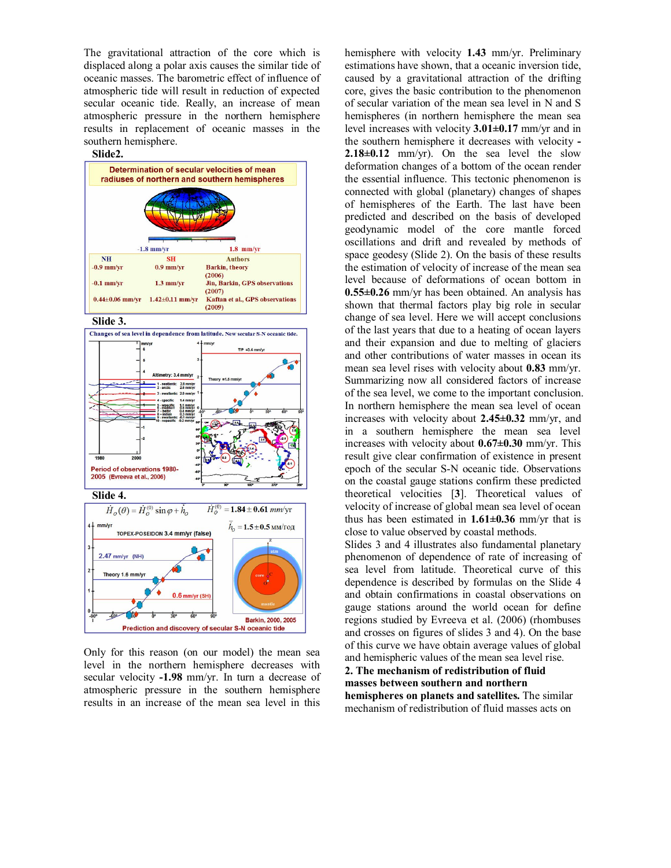The gravitational attraction of the core which is displaced along a polar axis causes the similar tide of oceanic masses. The barometric effect of influence of atmospheric tide will result in reduction of expected secular oceanic tide. Really, an increase of mean atmospheric pressure in the northern hemisphere results in replacement of oceanic masses in the southern hemisphere.



Only for this reason (on our model) the mean sea level in the northern hemisphere decreases with secular velocity **-1.98** mm/yr. In turn a decrease of atmospheric pressure in the southern hemisphere results in an increase of the mean sea level in this

hemisphere with velocity **1.43** mm/yr. Preliminary estimations have shown, that a oceanic inversion tide, caused by a gravitational attraction of the drifting core, gives the basic contribution to the phenomenon of secular variation of the mean sea level in N and S hemispheres (in northern hemisphere the mean sea level increases with velocity **3.01±0.17** mm/yr and in the southern hemisphere it decreases with velocity **- 2.18** $\pm$ **0.12** mm/yr). On the sea level the slow deformation changes of a bottom of the ocean render the essential influence. This tectonic phenomenon is connected with global (planetary) changes of shapes of hemispheres of the Earth. The last have been predicted and described on the basis of developed geodynamic model of the core mantle forced oscillations and drift and revealed by methods of space geodesy (Slide 2). On the basis of these results the estimation of velocity of increase of the mean sea level because of deformations of ocean bottom in **0.55±0.26** mm/yr has been obtained. An analysis has shown that thermal factors play big role in secular change of sea level. Here we will accept conclusions of the last years that due to a heating of ocean layers and their expansion and due to melting of glaciers and other contributions of water masses in ocean its mean sea level rises with velocity about **0.83** mm/yr. Summarizing now all considered factors of increase of the sea level, we come to the important conclusion. In northern hemisphere the mean sea level of ocean increases with velocity about **2.45±0.32** mm/yr, and in a southern hemisphere the mean sea level increases with velocity about **0.67±0.30** mm/yr. This result give clear confirmation of existence in present epoch of the secular S-N oceanic tide. Observations on the coastal gauge stations confirm these predicted theoretical velocities [**3**]. Theoretical values of velocity of increase of global mean sea level of ocean thus has been estimated in **1.61±0.36** mm/yr that is close to value observed by coastal methods.

Slides 3 and 4 illustrates also fundamental planetary phenomenon of dependence of rate of increasing of sea level from latitude. Theoretical curve of this dependence is described by formulas on the Slide 4 and obtain confirmations in coastal observations on gauge stations around the world ocean for define regions studied by Evreeva et al. (2006) (rhombuses and crosses on figures of slides 3 and 4). On the base of this curve we have obtain average values of global and hemispheric values of the mean sea level rise.

### **2. The mechanism of redistribution of fluid masses between southern and northern hemispheres on planets and satellites.** The similar mechanism of redistribution of fluid masses acts on